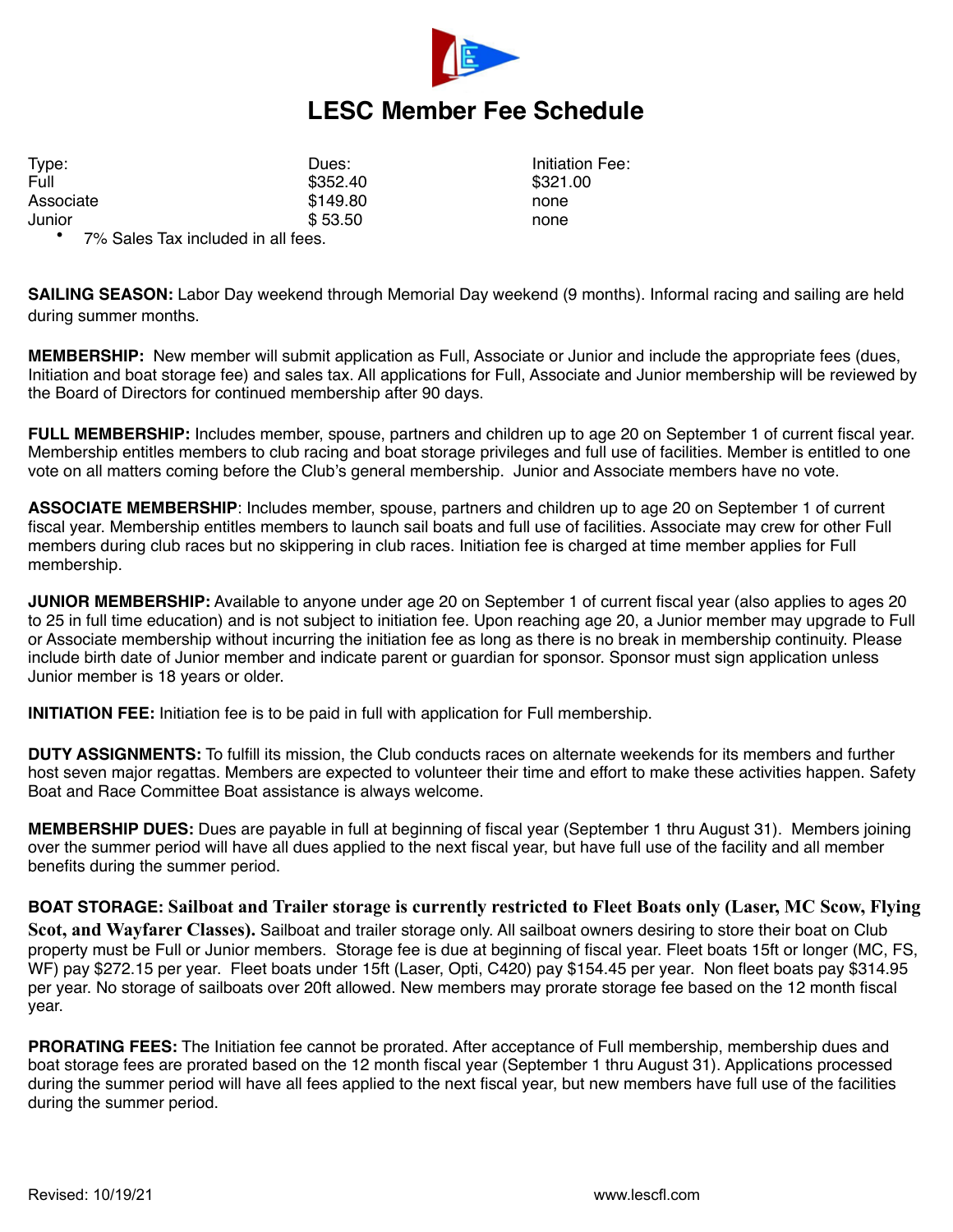

## **LESC Member Fee Schedule**

Type: Type: The Contract of Contract Dues: The Contract of The Initiation Fee: The Initiation Fee: Full \$352.40 \$321.00 Associate **8149.80** none Junior  $$53.50$  none

• 7% Sales Tax included in all fees.

**SAILING SEASON:** Labor Day weekend through Memorial Day weekend (9 months). Informal racing and sailing are held during summer months.

**MEMBERSHIP:** New member will submit application as Full, Associate or Junior and include the appropriate fees (dues, Initiation and boat storage fee) and sales tax. All applications for Full, Associate and Junior membership will be reviewed by the Board of Directors for continued membership after 90 days.

**FULL MEMBERSHIP:** Includes member, spouse, partners and children up to age 20 on September 1 of current fiscal year. Membership entitles members to club racing and boat storage privileges and full use of facilities. Member is entitled to one vote on all matters coming before the Club's general membership. Junior and Associate members have no vote.

**ASSOCIATE MEMBERSHIP**: Includes member, spouse, partners and children up to age 20 on September 1 of current fiscal year. Membership entitles members to launch sail boats and full use of facilities. Associate may crew for other Full members during club races but no skippering in club races. Initiation fee is charged at time member applies for Full membership.

**JUNIOR MEMBERSHIP:** Available to anyone under age 20 on September 1 of current fiscal year (also applies to ages 20 to 25 in full time education) and is not subject to initiation fee. Upon reaching age 20, a Junior member may upgrade to Full or Associate membership without incurring the initiation fee as long as there is no break in membership continuity. Please include birth date of Junior member and indicate parent or guardian for sponsor. Sponsor must sign application unless Junior member is 18 years or older.

**INITIATION FEE:** Initiation fee is to be paid in full with application for Full membership.

**DUTY ASSIGNMENTS:** To fulfill its mission, the Club conducts races on alternate weekends for its members and further host seven major regattas. Members are expected to volunteer their time and effort to make these activities happen. Safety Boat and Race Committee Boat assistance is always welcome.

**MEMBERSHIP DUES:** Dues are payable in full at beginning of fiscal year (September 1 thru August 31). Members joining over the summer period will have all dues applied to the next fiscal year, but have full use of the facility and all member benefits during the summer period.

**BOAT STORAGE: Sailboat and Trailer storage is currently restricted to Fleet Boats only (Laser, MC Scow, Flying Scot, and Wayfarer Classes).** Sailboat and trailer storage only. All sailboat owners desiring to store their boat on Club property must be Full or Junior members. Storage fee is due at beginning of fiscal year. Fleet boats 15ft or longer (MC, FS, WF) pay \$272.15 per year. Fleet boats under 15ft (Laser, Opti, C420) pay \$154.45 per year. Non fleet boats pay \$314.95 per year. No storage of sailboats over 20ft allowed. New members may prorate storage fee based on the 12 month fiscal year.

**PRORATING FEES:** The Initiation fee cannot be prorated. After acceptance of Full membership, membership dues and boat storage fees are prorated based on the 12 month fiscal year (September 1 thru August 31). Applications processed during the summer period will have all fees applied to the next fiscal year, but new members have full use of the facilities during the summer period.